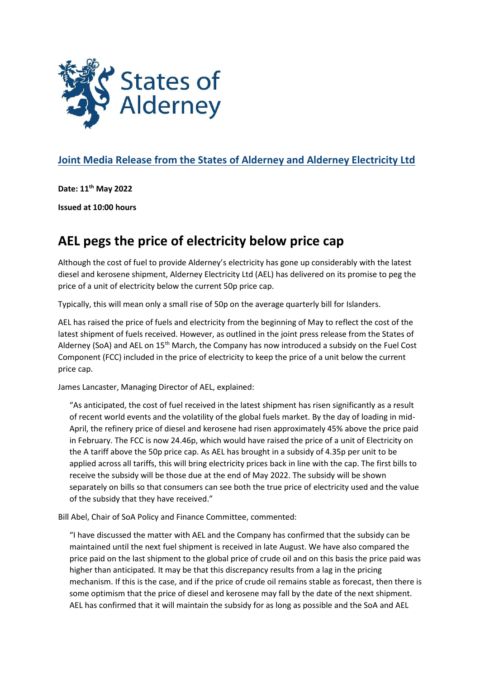

## **Joint Media Release from the States of Alderney and Alderney Electricity Ltd**

**Date: 11 th May 2022**

**Issued at 10:00 hours**

## **AEL pegs the price of electricity below price cap**

Although the cost of fuel to provide Alderney's electricity has gone up considerably with the latest diesel and kerosene shipment, Alderney Electricity Ltd (AEL) has delivered on its promise to peg the price of a unit of electricity below the current 50p price cap.

Typically, this will mean only a small rise of 50p on the average quarterly bill for Islanders.

AEL has raised the price of fuels and electricity from the beginning of May to reflect the cost of the latest shipment of fuels received. However, as outlined in the joint press release from the States of Alderney (SoA) and AEL on 15<sup>th</sup> March, the Company has now introduced a subsidy on the Fuel Cost Component (FCC) included in the price of electricity to keep the price of a unit below the current price cap.

James Lancaster, Managing Director of AEL, explained:

"As anticipated, the cost of fuel received in the latest shipment has risen significantly as a result of recent world events and the volatility of the global fuels market. By the day of loading in mid-April, the refinery price of diesel and kerosene had risen approximately 45% above the price paid in February. The FCC is now 24.46p, which would have raised the price of a unit of Electricity on the A tariff above the 50p price cap. As AEL has brought in a subsidy of 4.35p per unit to be applied across all tariffs, this will bring electricity prices back in line with the cap. The first bills to receive the subsidy will be those due at the end of May 2022. The subsidy will be shown separately on bills so that consumers can see both the true price of electricity used and the value of the subsidy that they have received."

Bill Abel, Chair of SoA Policy and Finance Committee, commented:

"I have discussed the matter with AEL and the Company has confirmed that the subsidy can be maintained until the next fuel shipment is received in late August. We have also compared the price paid on the last shipment to the global price of crude oil and on this basis the price paid was higher than anticipated. It may be that this discrepancy results from a lag in the pricing mechanism. If this is the case, and if the price of crude oil remains stable as forecast, then there is some optimism that the price of diesel and kerosene may fall by the date of the next shipment. AEL has confirmed that it will maintain the subsidy for as long as possible and the SoA and AEL